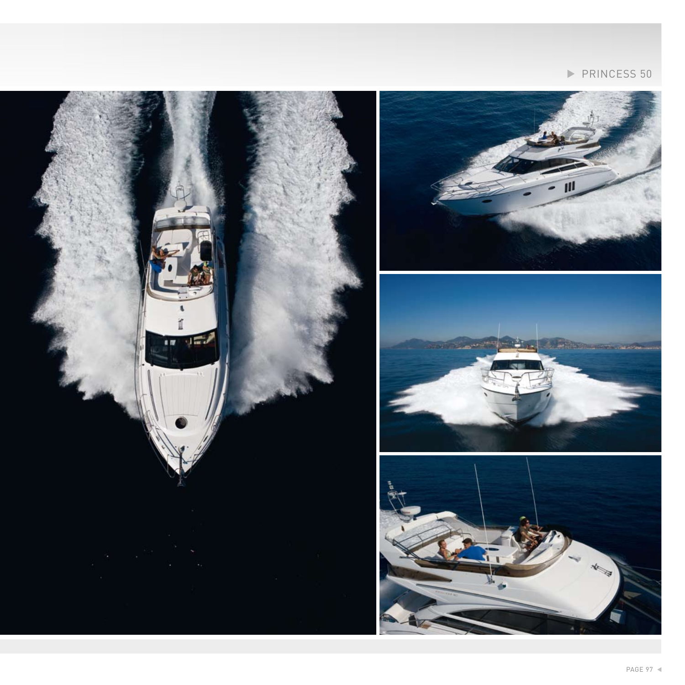

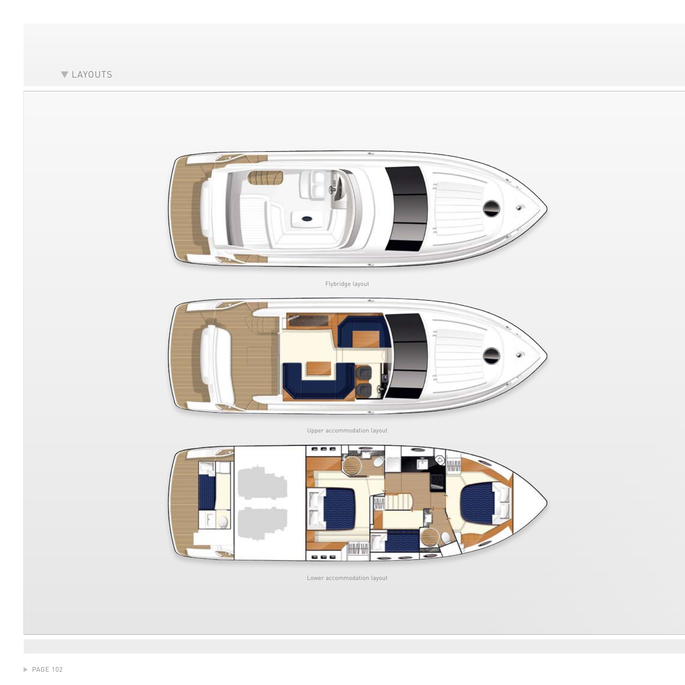



Flybridge layout



Upper accommodation layout



Lower accommodation layout